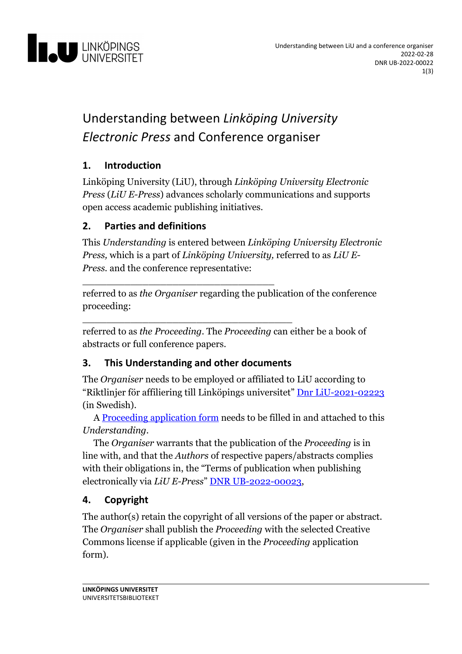

# Understanding between *Linköping University Electronic Press* and Conference organiser

# **1. Introduction**

Linköping University (LiU), through *Linköping University Electronic Press* (*LiU E-Press*) advances scholarly communications and supports open access academic publishing initiatives.

## **2. Parties and definitions**

This *Understanding* is entered between *Linköping University Electronic Press,* which is a part of *Linköping University,* referred to as *LiU E-Press.* and the conference representative:

\_\_\_\_\_\_\_\_\_\_\_\_\_\_\_\_\_\_\_\_\_\_\_\_\_\_\_\_\_\_\_\_ referred to as *the Organiser* regarding the publication of the conference proceeding:

referred to as *the Proceeding*. The *Proceeding* can either be a book of abstracts or full conference papers.

## **3. This Understanding and other documents**

\_\_\_\_\_\_\_\_\_\_\_\_\_\_\_\_\_\_\_\_\_\_\_\_\_\_\_\_\_\_\_\_\_\_\_

The *Organiser* needs to be employed or affiliated to LiU according to "Riktlinjer för affiliering till Linköpings universitet" Dnr [LiU-2021-02223](https://styrdokument.liu.se/Regelsamling/Fil/1724348) (in Swedish).

A <u>Proceeding application form</u> needs to be filled in and attached to this *Understanding*.

The *Organiser* warrants that the publication of the *Proceeding* is in line with, and that the *Authors* of respective papers/abstracts complies with their obligations in, the "Terms of publication when publishing electronically via *LiU E-Press*" [DNR UB-2022-00023,](https://ep.liu.se/docs/terms-of-publication-en.pdf)

## **4. Copyright**

The author(s) retain the copyright of all versions of the paper or abstract. The *Organiser* shall publish the *Proceeding* with the selected Creative Commons license if applicable (given in the *Proceeding* application form).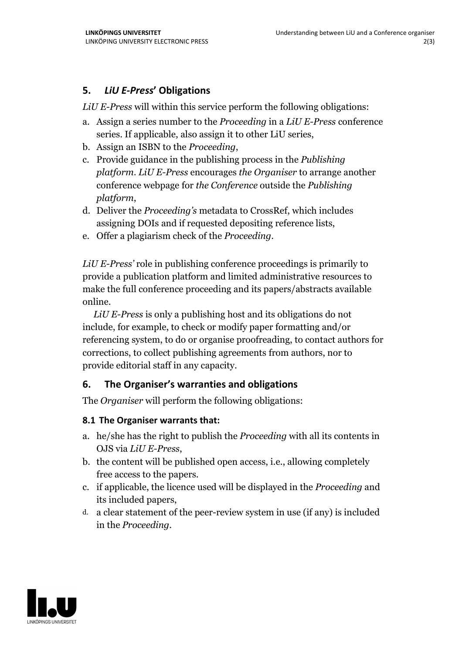## **5.** *LiU E-Press***' Obligations**

*LiU E-Press* will within this service perform the following obligations:

- a. Assign a series number to the *Proceeding* in a *LiU E-Press* conference series. If applicable, also assign it to other LiU series,
- b. Assign an ISBN to the *Proceeding*,
- c. Provide guidance in the publishing process in the *Publishing platform*. *LiU E-Press* encourages *the Organiser* to arrange another conference webpage for *the Conference* outside the *Publishing platform*,
- d. Deliver the *Proceeding's* metadata to CrossRef, which includes assigning DOIs and if requested depositing reference lists,
- e. Offer a plagiarism check of the *Proceeding*.

*LiU E-Press'* role in publishing conference proceedings is primarily to provide a publication platform and limited administrative resources to make the full conference proceeding and its papers/abstracts available online.

*LiU E-Press* is only a publishing host and its obligations do not include, for example, to check or modify paper formatting and/or referencing system, to do or organise proofreading, to contact authors for corrections, to collect publishing agreements from authors, nor to provide editorial staff in any capacity.

#### **6. The Organiser's warranties and obligations**

The *Organiser* will perform the following obligations:

#### **8.1 The Organiser warrants that:**

- a. he/she has the right to publish the *Proceeding* with all its contents in OJS via *LiU E-Press*,
- b. the content will be published open access, i.e., allowing completely free access to the papers.
- c. if applicable, the licence used will be displayed in the *Proceeding* and its included papers,
- d. a clear statement of the peer-review system in use (if any) is included in the *Proceeding*.